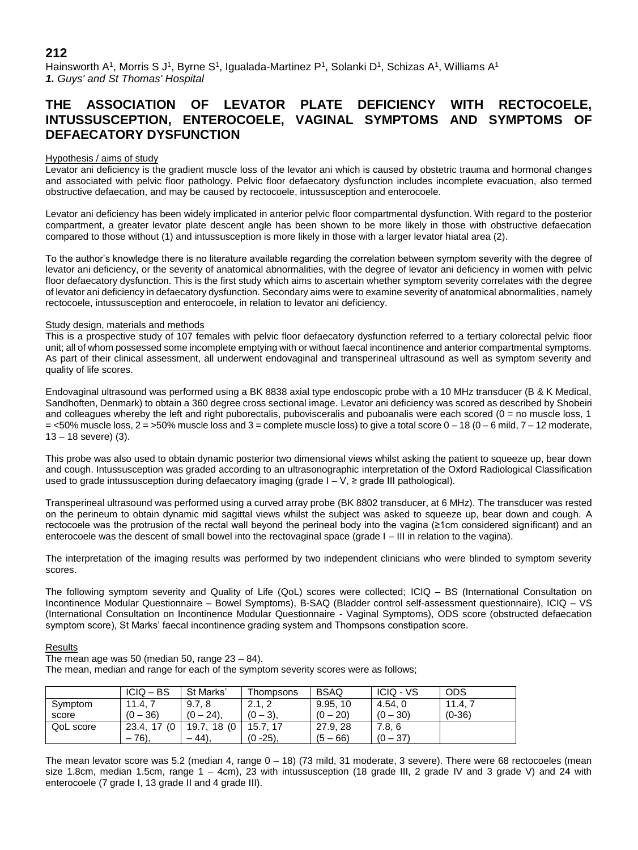Hainsworth A<sup>1</sup>, Morris S J<sup>1</sup>, Byrne S<sup>1</sup>, Igualada-Martinez P<sup>1</sup>, Solanki D<sup>1</sup>, Schizas A<sup>1</sup>, Williams A<sup>1</sup> *1. Guys' and St Thomas' Hospital*

# **THE ASSOCIATION OF LEVATOR PLATE DEFICIENCY WITH RECTOCOELE, INTUSSUSCEPTION, ENTEROCOELE, VAGINAL SYMPTOMS AND SYMPTOMS OF DEFAECATORY DYSFUNCTION**

## Hypothesis / aims of study

Levator ani deficiency is the gradient muscle loss of the levator ani which is caused by obstetric trauma and hormonal changes and associated with pelvic floor pathology. Pelvic floor defaecatory dysfunction includes incomplete evacuation, also termed obstructive defaecation, and may be caused by rectocoele, intussusception and enterocoele.

Levator ani deficiency has been widely implicated in anterior pelvic floor compartmental dysfunction. With regard to the posterior compartment, a greater levator plate descent angle has been shown to be more likely in those with obstructive defaecation compared to those without (1) and intussusception is more likely in those with a larger levator hiatal area (2).

To the author's knowledge there is no literature available regarding the correlation between symptom severity with the degree of levator ani deficiency, or the severity of anatomical abnormalities, with the degree of levator ani deficiency in women with pelvic floor defaecatory dysfunction. This is the first study which aims to ascertain whether symptom severity correlates with the degree of levator ani deficiency in defaecatory dysfunction. Secondary aims were to examine severity of anatomical abnormalities, namely rectocoele, intussusception and enterocoele, in relation to levator ani deficiency.

## Study design, materials and methods

This is a prospective study of 107 females with pelvic floor defaecatory dysfunction referred to a tertiary colorectal pelvic floor unit; all of whom possessed some incomplete emptying with or without faecal incontinence and anterior compartmental symptoms. As part of their clinical assessment, all underwent endovaginal and transperineal ultrasound as well as symptom severity and quality of life scores.

Endovaginal ultrasound was performed using a BK 8838 axial type endoscopic probe with a 10 MHz transducer (B & K Medical, Sandhoften, Denmark) to obtain a 360 degree cross sectional image. Levator ani deficiency was scored as described by Shobeiri and colleagues whereby the left and right puborectalis, pubovisceralis and puboanalis were each scored ( $0 =$  no muscle loss, 1  $=$  <50% muscle loss, 2 = >50% muscle loss and 3 = complete muscle loss) to give a total score 0 – 18 (0 – 6 mild, 7 – 12 moderate, 13 – 18 severe) (3).

This probe was also used to obtain dynamic posterior two dimensional views whilst asking the patient to squeeze up, bear down and cough. Intussusception was graded according to an ultrasonographic interpretation of the Oxford Radiological Classification used to grade intussusception during defaecatory imaging (grade  $I - V$ ,  $\geq$  grade III pathological).

Transperineal ultrasound was performed using a curved array probe (BK 8802 transducer, at 6 MHz). The transducer was rested on the perineum to obtain dynamic mid sagittal views whilst the subject was asked to squeeze up, bear down and cough. A rectocoele was the protrusion of the rectal wall beyond the perineal body into the vagina (≥1cm considered significant) and an enterocoele was the descent of small bowel into the rectovaginal space (grade I – III in relation to the vagina).

The interpretation of the imaging results was performed by two independent clinicians who were blinded to symptom severity scores.

The following symptom severity and Quality of Life (QoL) scores were collected; ICIQ – BS (International Consultation on Incontinence Modular Questionnaire – Bowel Symptoms), B-SAQ (Bladder control self-assessment questionnaire), ICIQ – VS (International Consultation on Incontinence Modular Questionnaire - Vaginal Symptoms), ODS score (obstructed defaecation symptom score), St Marks' faecal incontinence grading system and Thompsons constipation score.

## Results

The mean age was 50 (median 50, range  $23 - 84$ ). The mean, median and range for each of the symptom severity scores were as follows;

|           | $ICIO - BS$     | St Marks'    | Thompsons    | <b>BSAQ</b> | <b>ICIQ - VS</b> | <b>ODS</b> |
|-----------|-----------------|--------------|--------------|-------------|------------------|------------|
| Symptom   | 11.4.7          | 9.7.8        | 2.1.2        | 9.95.10     | 4.54.0           | 11.4.      |
| score     | $(0 - 36)$      | $(0 - 24)$ . | $(0 - 3)$ .  | $(0 - 20)$  | $(0 - 30)$       | $(0-36)$   |
| QoL score | (0)<br>23.4, 17 | 19.7.18 (0   | 15.7.17      | 27.9.28     | 7.8.6            |            |
|           | $-76$ ),        | $-44$ ).     | $(0 - 25)$ . | $(5 - 66)$  | $(0 - 37)$       |            |

The mean levator score was 5.2 (median 4, range 0 – 18) (73 mild, 31 moderate, 3 severe). There were 68 rectocoeles (mean size 1.8cm, median 1.5cm, range 1 – 4cm), 23 with intussusception (18 grade III, 2 grade IV and 3 grade V) and 24 with enterocoele (7 grade I, 13 grade II and 4 grade III).